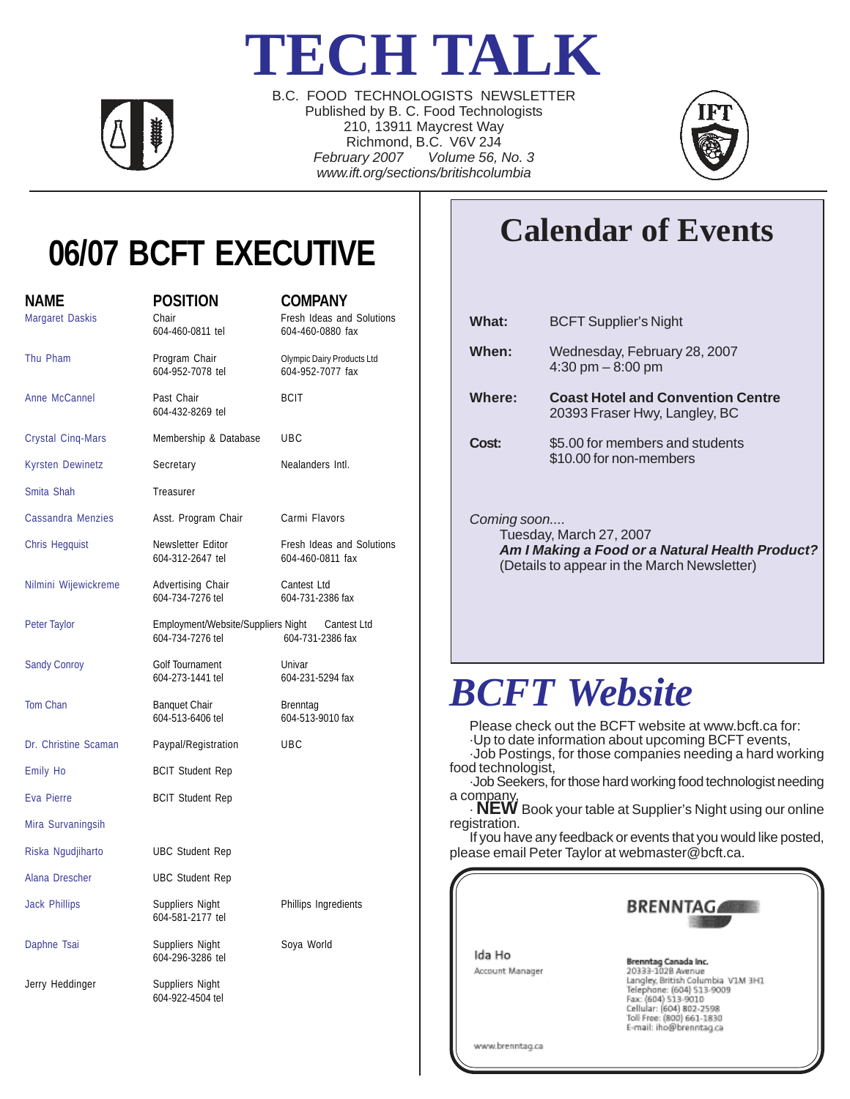## **TECH TALK**



B.C. FOOD TECHNOLOGISTS NEWSLETTER Published by B. C. Food Technologists 210, 13911 Maycrest Way Richmond, B.C. V6V 2J4 *February 2007 Volume 56, No. 3 www.ift.org/sections/britishcolumbia*



### **06/07 BCFT EXECUTIVE**

| <b>NAME</b><br>Margaret Daskis | <b>POSITION</b><br>Chair<br>604-460-0811 tel                       | <b>COMPANY</b><br>Fresh Ideas and Solutions<br>604-460-0880 fax |
|--------------------------------|--------------------------------------------------------------------|-----------------------------------------------------------------|
| Thu Pham                       | Program Chair<br>604-952-7078 tel                                  | Olympic Dairy Products Ltd<br>604-952-7077 fax                  |
| Anne McCannel                  | Past Chair<br>604-432-8269 tel                                     | <b>BCIT</b>                                                     |
| <b>Crystal Cinq-Mars</b>       | Membership & Database                                              | <b>UBC</b>                                                      |
| <b>Kyrsten Dewinetz</b>        | Secretary                                                          | Nealanders Intl.                                                |
| Smita Shah                     | Treasurer                                                          |                                                                 |
| <b>Cassandra Menzies</b>       | Asst. Program Chair                                                | Carmi Flavors                                                   |
| <b>Chris Hegquist</b>          | Newsletter Editor<br>604-312-2647 tel                              | Fresh Ideas and Solutions<br>604-460-0811 fax                   |
| Nilmini Wijewickreme           | Advertising Chair<br>604-734-7276 tel                              | Cantest Ltd<br>604-731-2386 fax                                 |
| Peter Taylor                   | Employment/Website/Suppliers Night Cantest Ltd<br>604-734-7276 tel | 604-731-2386 fax                                                |
| <b>Sandy Conroy</b>            | Golf Tournament<br>604-273-1441 tel                                | Univar<br>604-231-5294 fax                                      |
| Tom Chan                       | <b>Banquet Chair</b><br>604-513-6406 tel                           | Brenntag<br>604-513-9010 fax                                    |
| Dr. Christine Scaman           | Paypal/Registration                                                | UBC                                                             |
| Emily Ho                       | <b>BCIT Student Rep</b>                                            |                                                                 |
| Eva Pierre                     | <b>BCIT Student Rep</b>                                            |                                                                 |
| Mira Survaningsih              |                                                                    |                                                                 |
| Riska Ngudjiharto              | <b>UBC Student Rep</b>                                             |                                                                 |
| Alana Drescher                 | <b>UBC Student Rep</b>                                             |                                                                 |
| <b>Jack Phillips</b>           | Suppliers Night<br>604-581-2177 tel                                | Phillips Ingredients                                            |
| Daphne Tsai                    | Suppliers Night<br>604-296-3286 tel                                | Soya World                                                      |
| Jerry Heddinger                | Suppliers Night<br>604-922-4504 tel                                |                                                                 |

### **Calendar of Events**

| What:       | <b>BCFT Supplier's Night</b>                                                                                              |
|-------------|---------------------------------------------------------------------------------------------------------------------------|
| When:       | Wednesday, February 28, 2007<br>4:30 pm $-8:00$ pm                                                                        |
| Where:      | <b>Coast Hotel and Convention Centre</b><br>20393 Fraser Hwy, Langley, BC                                                 |
| Cost:       | \$5.00 for members and students<br>\$10.00 for non-members                                                                |
| Coming soon | Tuesday, March 27, 2007<br>Am I Making a Food or a Natural Health Product?<br>(Details to appear in the March Newsletter) |
|             | <b>BCFT</b> Website                                                                                                       |

Please check out the BCFT website at www.bcft.ca for:

·Up to date information about upcoming BCFT events,

·Job Postings, for those companies needing a hard working food technologist,

·Job Seekers, for those hard working food technologist needing a company,

· **NEW** Book your table at Supplier's Night using our online registration.

If you have any feedback or events that you would like posted, please email Peter Taylor at webmaster@bcft.ca.

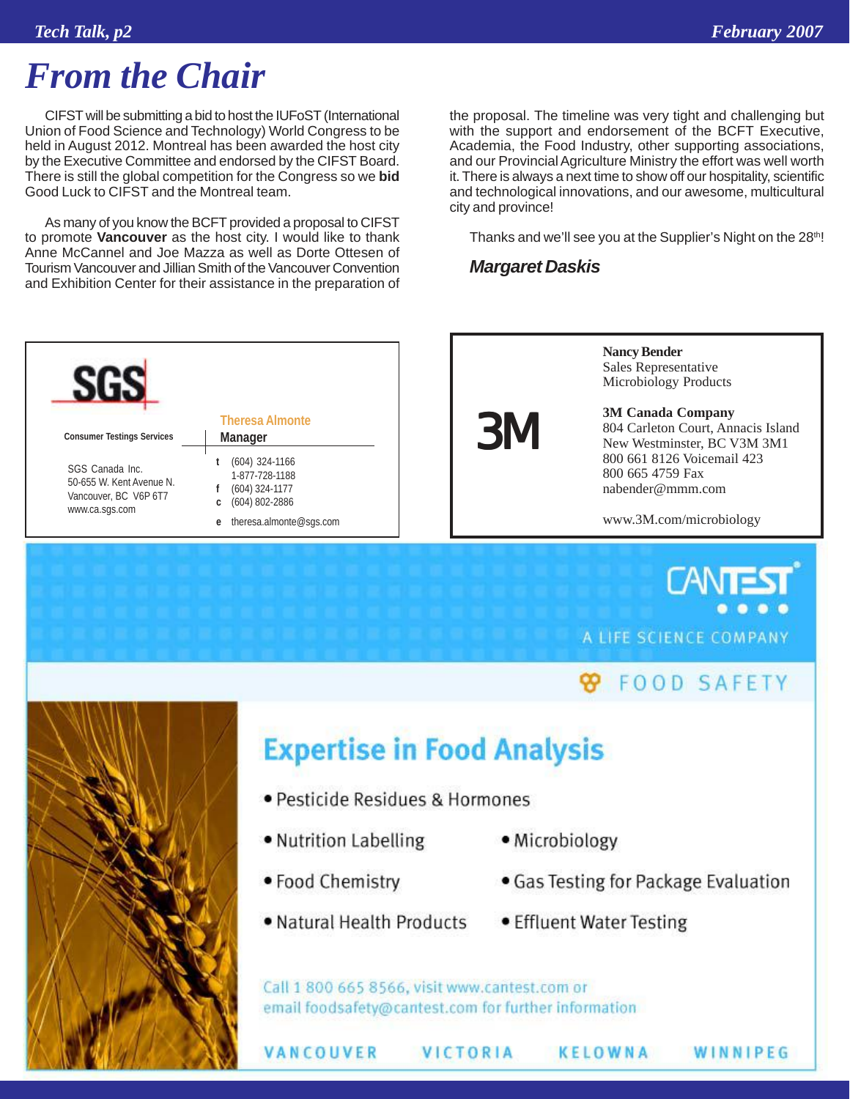### *From the Chair*

CIFST will be submitting a bid to host the IUFoST (International Union of Food Science and Technology) World Congress to be held in August 2012. Montreal has been awarded the host city by the Executive Committee and endorsed by the CIFST Board. There is still the global competition for the Congress so we **bid** Good Luck to CIFST and the Montreal team.

As many of you know the BCFT provided a proposal to CIFST to promote **Vancouver** as the host city. I would like to thank Anne McCannel and Joe Mazza as well as Dorte Ottesen of Tourism Vancouver and Jillian Smith of the Vancouver Convention and Exhibition Center for their assistance in the preparation of



Thanks and we'll see you at the Supplier's Night on the 28th!

#### *Margaret Daskis*





**CANT** A LIFE SCIENCE COMPANY

### **99 FOOD SAFETY**



### **Expertise in Food Analysis**

- · Pesticide Residues & Hormones
- Nutrition Labelling
- Microbiology
- Food Chemistry

VANCOUVER

- . Natural Health Products
- Gas Testing for Package Evaluation

WINNIPEG

• Effluent Water Testing

**KELOWNA** 

Call 1 800 665 8566, visit www.cantest.com or email foodsafety@cantest.com for further information

VICTORIA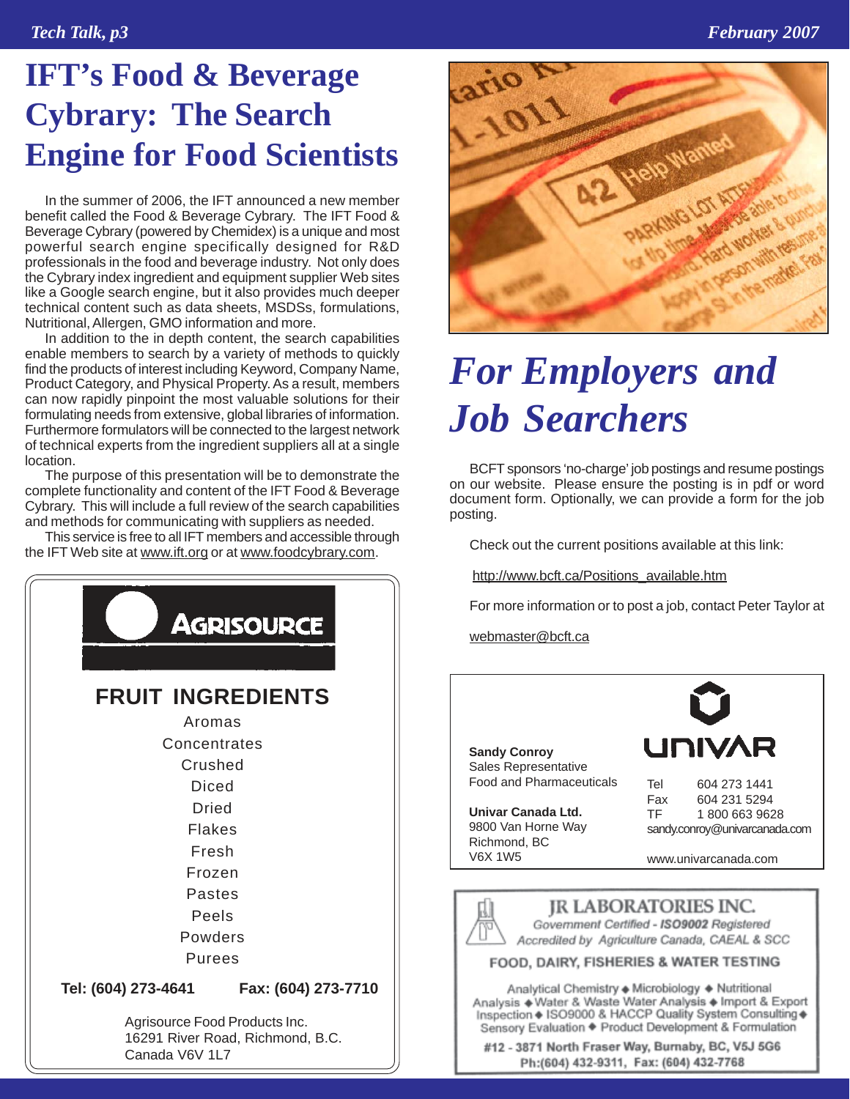### **IFT's Food & Beverage Cybrary: The Search Engine for Food Scientists**

In the summer of 2006, the IFT announced a new member benefit called the Food & Beverage Cybrary. The IFT Food & Beverage Cybrary (powered by Chemidex) is a unique and most powerful search engine specifically designed for R&D professionals in the food and beverage industry. Not only does the Cybrary index ingredient and equipment supplier Web sites like a Google search engine, but it also provides much deeper technical content such as data sheets, MSDSs, formulations, Nutritional, Allergen, GMO information and more.

In addition to the in depth content, the search capabilities enable members to search by a variety of methods to quickly find the products of interest including Keyword, Company Name, Product Category, and Physical Property. As a result, members can now rapidly pinpoint the most valuable solutions for their formulating needs from extensive, global libraries of information. Furthermore formulators will be connected to the largest network of technical experts from the ingredient suppliers all at a single location.

The purpose of this presentation will be to demonstrate the complete functionality and content of the IFT Food & Beverage Cybrary. This will include a full review of the search capabilities and methods for communicating with suppliers as needed.

This service is free to all IFT members and accessible through the IFT Web site at www.ift.org or at www.foodcybrary.com.





### *For Employers and Job Searchers*

BCFT sponsors 'no-charge' job postings and resume postings on our website. Please ensure the posting is in pdf or word document form. Optionally, we can provide a form for the job posting.

Check out the current positions available at this link:

http://www.bcft.ca/Positions\_available.htm

For more information or to post a job, contact Peter Taylor at

webmaster@bcft.ca

**Sandy Conroy** Sales Representative Food and Pharmaceuticals

**Univar Canada Ltd.** 9800 Van Horne Way Richmond, BC V6X 1W5



TF 1 800 663 9628 sandy.conroy@univarcanada.com

www.univarcanada.com



Accredited by Agriculture Canada, CAEAL & SCC

#### FOOD, DAIRY, FISHERIES & WATER TESTING

Analytical Chemistry + Microbiology + Nutritional Analysis + Water & Waste Water Analysis + Import & Export Inspection + ISO9000 & HACCP Quality System Consulting + Sensory Evaluation + Product Development & Formulation

#12 - 3871 North Fraser Way, Burnaby, BC, V5J 5G6 Ph:(604) 432-9311, Fax: (604) 432-7768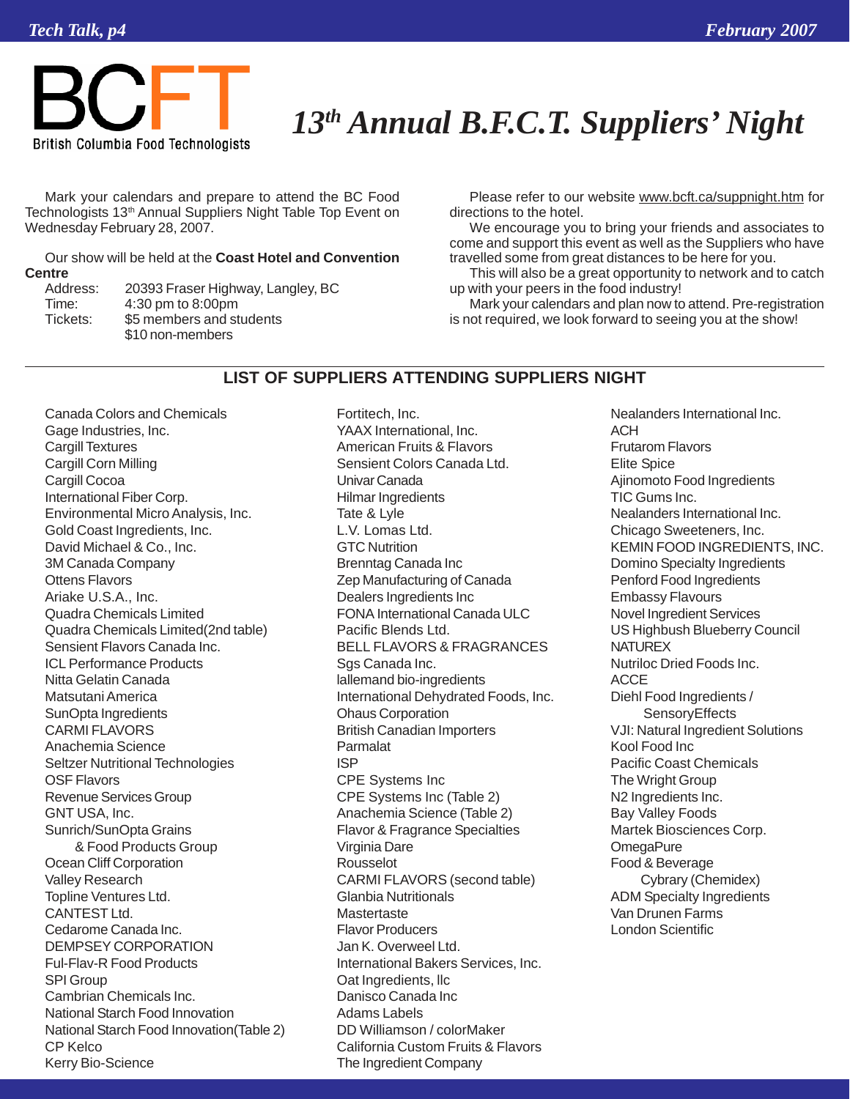

### *13th Annual B.F.C.T. Suppliers' Night*

Mark your calendars and prepare to attend the BC Food Technologists 13<sup>th</sup> Annual Suppliers Night Table Top Event on Wednesday February 28, 2007.

Our show will be held at the **Coast Hotel and Convention Centre**

| Address: |  |
|----------|--|
| Time:    |  |
| Tickets: |  |
|          |  |

20393 Fraser Highway, Langley, BC 4:30 pm to 8:00pm \$5 members and students \$10 non-members

Please refer to our website www.bcft.ca/suppnight.htm for directions to the hotel.

We encourage you to bring your friends and associates to come and support this event as well as the Suppliers who have travelled some from great distances to be here for you.

This will also be a great opportunity to network and to catch up with your peers in the food industry!

Mark your calendars and plan now to attend. Pre-registration is not required, we look forward to seeing you at the show!

#### **LIST OF SUPPLIERS ATTENDING SUPPLIERS NIGHT**

Canada Colors and Chemicals Gage Industries, Inc. Cargill Textures Cargill Corn Milling Cargill Cocoa International Fiber Corp. Environmental Micro Analysis, Inc. Gold Coast Ingredients, Inc. David Michael & Co., Inc. 3M Canada Company Ottens Flavors Ariake U.S.A., Inc. Quadra Chemicals Limited Quadra Chemicals Limited(2nd table) Sensient Flavors Canada Inc. ICL Performance Products Nitta Gelatin Canada Matsutani America SunOpta Ingredients CARMI FLAVORS Anachemia Science Seltzer Nutritional Technologies OSF Flavors Revenue Services Group GNT USA, Inc. Sunrich/SunOpta Grains & Food Products Group Ocean Cliff Corporation Valley Research Topline Ventures Ltd. CANTEST Ltd. Cedarome Canada Inc. DEMPSEY CORPORATION Ful-Flav-R Food Products SPI Group Cambrian Chemicals Inc. National Starch Food Innovation National Starch Food Innovation(Table 2) CP Kelco Kerry Bio-Science

Fortitech, Inc. YAAX International, Inc. American Fruits & Flavors Sensient Colors Canada Ltd. Univar Canada Hilmar Ingredients Tate & Lyle L.V. Lomas Ltd. GTC Nutrition Brenntag Canada Inc Zep Manufacturing of Canada Dealers Ingredients Inc FONA International Canada ULC Pacific Blends Ltd. BELL FLAVORS & FRAGRANCES Sgs Canada Inc. lallemand bio-ingredients International Dehydrated Foods, Inc. Ohaus Corporation British Canadian Importers Parmalat ISP CPE Systems Inc CPE Systems Inc (Table 2) Anachemia Science (Table 2) Flavor & Fragrance Specialties Virginia Dare Rousselot CARMI FLAVORS (second table) Glanbia Nutritionals **Mastertaste** Flavor Producers Jan K. Overweel Ltd. International Bakers Services, Inc. Oat Ingredients, llc Danisco Canada Inc Adams Labels DD Williamson / colorMaker California Custom Fruits & Flavors The Ingredient Company

Nealanders International Inc. **ACH** Frutarom Flavors Elite Spice Ajinomoto Food Ingredients TIC Gums Inc. Nealanders International Inc. Chicago Sweeteners, Inc. KEMIN FOOD INGREDIENTS, INC. Domino Specialty Ingredients Penford Food Ingredients Embassy Flavours Novel Ingredient Services US Highbush Blueberry Council **NATUREX** Nutriloc Dried Foods Inc. **ACCE** Diehl Food Ingredients / **SensoryEffects** VJI: Natural Ingredient Solutions Kool Food Inc Pacific Coast Chemicals The Wright Group N2 Ingredients Inc. Bay Valley Foods Martek Biosciences Corp. **OmegaPure** Food & Beverage Cybrary (Chemidex) ADM Specialty Ingredients Van Drunen Farms London Scientific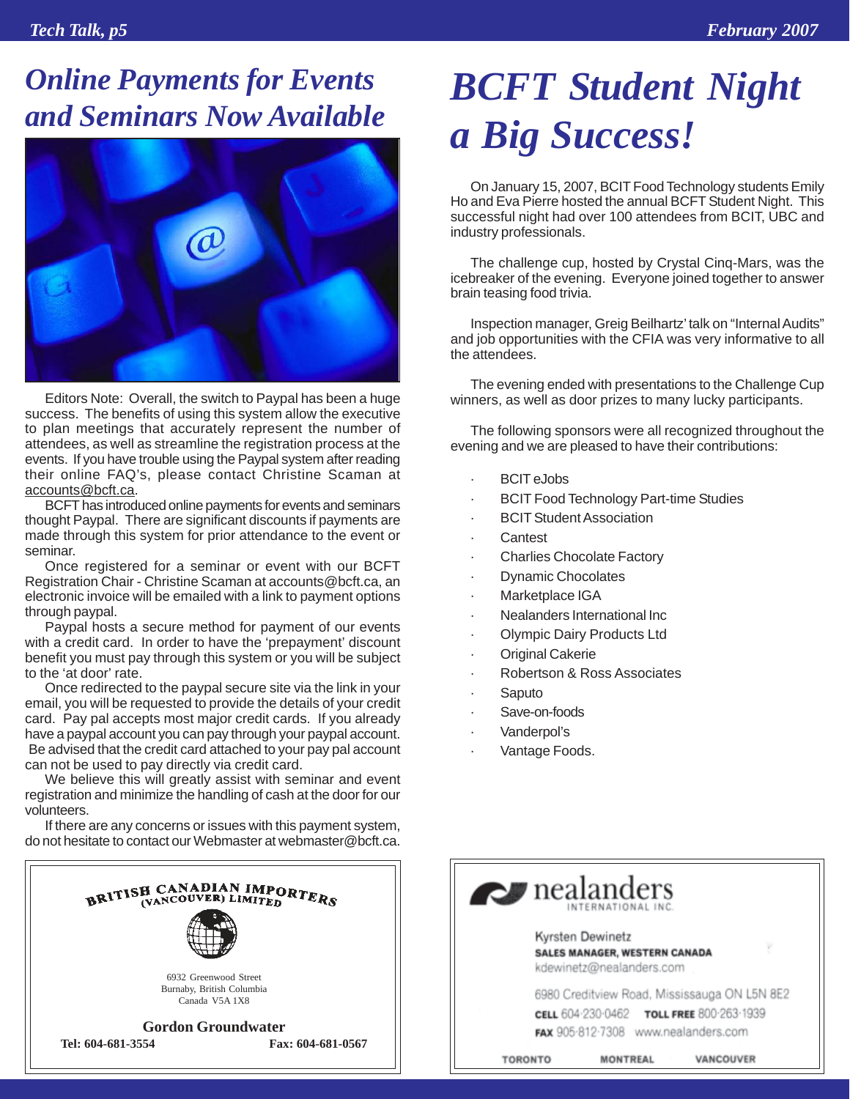### *Online Payments for Events Online Payments for Events<br> BCFT Student Night<br> and Seminars Now Available*



Editors Note: Overall, the switch to Paypal has been a huge success. The benefits of using this system allow the executive to plan meetings that accurately represent the number of attendees, as well as streamline the registration process at the events. If you have trouble using the Paypal system after reading their online FAQ's, please contact Christine Scaman at accounts@bcft.ca.

BCFT has introduced online payments for events and seminars thought Paypal. There are significant discounts if payments are made through this system for prior attendance to the event or seminar.

Once registered for a seminar or event with our BCFT Registration Chair - Christine Scaman at accounts@bcft.ca, an electronic invoice will be emailed with a link to payment options through paypal.

Paypal hosts a secure method for payment of our events with a credit card. In order to have the 'prepayment' discount benefit you must pay through this system or you will be subject to the 'at door' rate.

Once redirected to the paypal secure site via the link in your email, you will be requested to provide the details of your credit card. Pay pal accepts most major credit cards. If you already have a paypal account you can pay through your paypal account. Be advised that the credit card attached to your pay pal account can not be used to pay directly via credit card.

We believe this will greatly assist with seminar and event registration and minimize the handling of cash at the door for our volunteers.

If there are any concerns or issues with this payment system, do not hesitate to contact our Webmaster at webmaster@bcft.ca.



# *a Big Success!*

On January 15, 2007, BCIT Food Technology students Emily Ho and Eva Pierre hosted the annual BCFT Student Night. This successful night had over 100 attendees from BCIT, UBC and industry professionals.

The challenge cup, hosted by Crystal Cinq-Mars, was the icebreaker of the evening. Everyone joined together to answer brain teasing food trivia.

Inspection manager, Greig Beilhartz' talk on "Internal Audits" and job opportunities with the CFIA was very informative to all the attendees.

The evening ended with presentations to the Challenge Cup winners, as well as door prizes to many lucky participants.

The following sponsors were all recognized throughout the evening and we are pleased to have their contributions:

- **BCIT** eJobs
- **BCIT Food Technology Part-time Studies**
- **BCIT Student Association**
- **Cantest**
- **Charlies Chocolate Factory**
- · Dynamic Chocolates
- Marketplace IGA
- Nealanders International Inc
- · Olympic Dairy Products Ltd
- **Original Cakerie**
- · Robertson & Ross Associates
- **Saputo**
- Save-on-foods
- · Vanderpol's
- Vantage Foods.